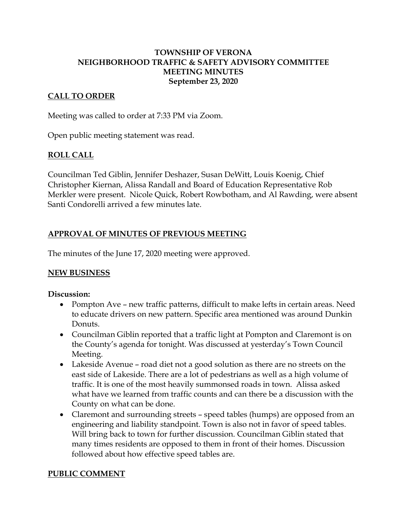#### **TOWNSHIP OF VERONA NEIGHBORHOOD TRAFFIC & SAFETY ADVISORY COMMITTEE MEETING MINUTES September 23, 2020**

#### **CALL TO ORDER**

Meeting was called to order at 7:33 PM via Zoom.

Open public meeting statement was read.

#### **ROLL CALL**

Councilman Ted Giblin, Jennifer Deshazer, Susan DeWitt, Louis Koenig, Chief Christopher Kiernan, Alissa Randall and Board of Education Representative Rob Merkler were present. Nicole Quick, Robert Rowbotham, and Al Rawding, were absent Santi Condorelli arrived a few minutes late.

# **APPROVAL OF MINUTES OF PREVIOUS MEETING**

The minutes of the June 17, 2020 meeting were approved.

## **NEW BUSINESS**

#### **Discussion:**

- Pompton Ave new traffic patterns, difficult to make lefts in certain areas. Need to educate drivers on new pattern. Specific area mentioned was around Dunkin Donuts.
- Councilman Giblin reported that a traffic light at Pompton and Claremont is on the County's agenda for tonight. Was discussed at yesterday's Town Council Meeting.
- Lakeside Avenue road diet not a good solution as there are no streets on the east side of Lakeside. There are a lot of pedestrians as well as a high volume of traffic. It is one of the most heavily summonsed roads in town. Alissa asked what have we learned from traffic counts and can there be a discussion with the County on what can be done.
- Claremont and surrounding streets speed tables (humps) are opposed from an engineering and liability standpoint. Town is also not in favor of speed tables. Will bring back to town for further discussion. Councilman Giblin stated that many times residents are opposed to them in front of their homes. Discussion followed about how effective speed tables are.

## **PUBLIC COMMENT**